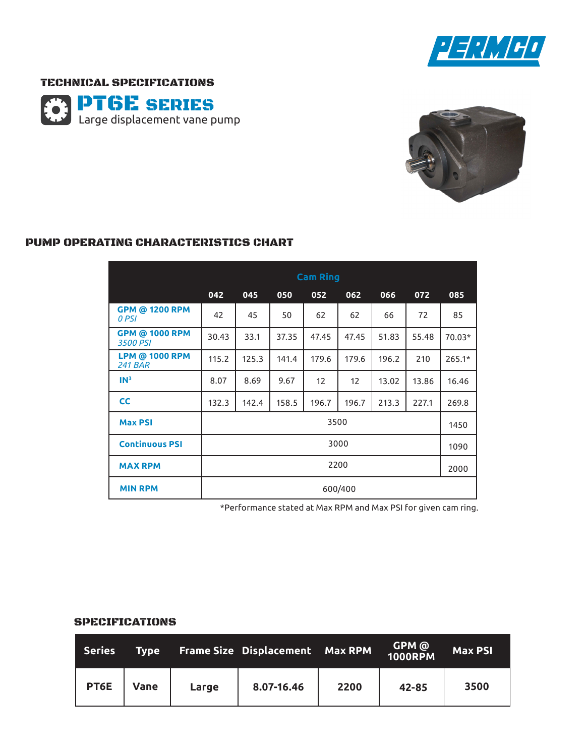

## TECHNICAL SPECIFICATIONS





#### PUMP OPERATING CHARACTERISTICS CHART

|                                         | <b>Cam Ring</b> |       |       |       |       |       |       |          |  |  |
|-----------------------------------------|-----------------|-------|-------|-------|-------|-------|-------|----------|--|--|
|                                         | 042             | 045   | 050   | 052   | 062   | 066   | 072   | 085      |  |  |
| GPM @ 1200 RPM<br>0 PSI                 | 42              | 45    | 50    | 62    | 62    | 66    | 72    | 85       |  |  |
| GPM @ 1000 RPM<br>3500 PSI              | 30.43           | 33.1  | 37.35 | 47.45 | 47.45 | 51.83 | 55.48 | $70.03*$ |  |  |
| <b>LPM @ 1000 RPM</b><br><b>241 BAR</b> | 115.2           | 125.3 | 141.4 | 179.6 | 179.6 | 196.2 | 210   | $265.1*$ |  |  |
| IN <sup>3</sup>                         | 8.07            | 8.69  | 9.67  | 12    | 12    | 13.02 | 13.86 | 16.46    |  |  |
| <b>CC</b>                               | 132.3           | 142.4 | 158.5 | 196.7 | 196.7 | 213.3 | 227.1 | 269.8    |  |  |
| <b>Max PSI</b>                          | 3500            |       |       |       |       |       |       |          |  |  |
| <b>Continuous PSI</b>                   | 3000            |       |       |       |       |       |       |          |  |  |
| <b>MAX RPM</b>                          | 2200            |       |       |       |       |       |       |          |  |  |
| <b>MIN RPM</b>                          | 600/400         |       |       |       |       |       |       |          |  |  |

\*Performance stated at Max RPM and Max PSI for given cam ring.

## SPECIFICATIONS

| <b>Series</b> | <b>Type</b> |       | Frame Size Displacement Max RPM |      | GPM @<br>1000RPM | <b>Max PSI</b> |
|---------------|-------------|-------|---------------------------------|------|------------------|----------------|
| PT6E          | <b>Vane</b> | Large | 8.07-16.46                      | 2200 | 42-85            | 3500           |